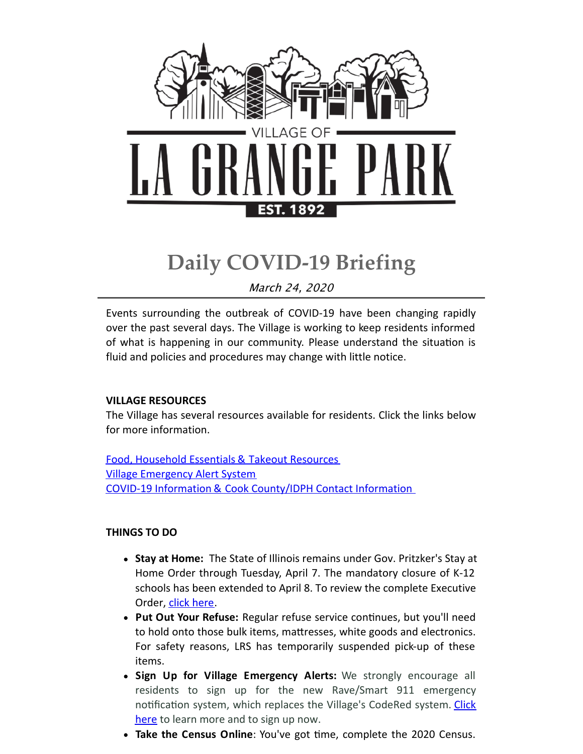

# **Daily COVID-19 Briefing**

March 24, 2020

Events surrounding the outbreak of COVID-19 have been changing rapidly over the past several days. The Village is working to keep residents informed of what is happening in our community. Please understand the situation is fluid and policies and procedures may change with little notice.

## **VILLAGE RESOURCES**

The Village has several resources available for residents. Click the links below for more information.

Food, [Household](http://r20.rs6.net/tn.jsp?f=001MwkpL6DQXn7u8d3znx0BIcoR9ev3W607z38wAw1z8iYSqin5CON-Qj1sGlamIp2aYuiXgH3xUEwS-ZZV57ehedBFTWSJLOq3mGPVK_HfXjuJmt-hTU3TI_TBhoaOMaX6aatatu81TF5uqAh7_Uc_cdRm5FulTejbWU8rJcOiW876K-MA_KOqRTq8QjJzFMEJC3Ul-cdfl9-UW-h-VEy0JA==&c=&ch=) Essentials & Takeout Resources Village [Emergency](http://r20.rs6.net/tn.jsp?f=001MwkpL6DQXn7u8d3znx0BIcoR9ev3W607z38wAw1z8iYSqin5CON-QgoxF6T0_KLghYJ750kogywmek-xP6Z4r-cU2It3FdF8IBgPZKCA3IaDQsorgXyOEn1pgpABHK0al6lzXZmza5cwvZcudgOrQLlBctjxFAmogVCqHj0HlRJsJss2wkZe9qVPsY9hcpDl0wZ2Eae2964xBX7LOXZULw==&c=&ch=) Alert System COVID-19 Information & Cook [County/IDPH](http://r20.rs6.net/tn.jsp?f=001MwkpL6DQXn7u8d3znx0BIcoR9ev3W607z38wAw1z8iYSqin5CON-QgoxF6T0_KLgxyDnAgWW_7jDZS5QO4WevSIdhDruzXQQ9ZJcCULqOzqrd0SGJ_2ZKmqoldB0Wm0iZf0OikNWvQi8r2IgpV6VS2q41SXUNUevjvnTBdF_hbq-bIaRbRBSVRtuLxpmOzJhinna0FYZErq5LNnQBsn-Z6VmIfx9WKYHcR5FSUAShxkBWPTwPa1HsApAGZZ__azD&c=&ch=) Contact Information

## **THINGS TO DO**

- **Stay at Home:** The State of Illinois remains under Gov. Pritzker's Stay at Home Order through Tuesday, April 7. The mandatory closure of K-12 schools has been extended to April 8. To review the complete Executive Order, click [here](http://r20.rs6.net/tn.jsp?f=001MwkpL6DQXn7u8d3znx0BIcoR9ev3W607z38wAw1z8iYSqin5CON-QgoxF6T0_KLg1TjqoXO1jLzywsq1MWKUk23yuGnq0qKPKREWcw-NuwViUWAebGltcBvz-sVCPE72tzKMJxEOLJpow1PVRkazqTcgi_1Nrb0-B8Bd5RcLd7Ccs_2cRY15bqoOEjawMjqNNoOElxTuhGKIJPZd3qQ1EJ15QfJqnNBmQENN26bWUDjgImy5RkrlJQ==&c=&ch=).
- **Put Out Your Refuse:** Regular refuse service continues, but you'll need to hold onto those bulk items, mattresses, white goods and electronics. For safety reasons, LRS has temporarily suspended pick-up of these items.
- **Sign Up for Village Emergency Alerts:** We strongly encourage all residents to sign up for the new Rave/Smart 911 emergency notification system, which replaces the Village's CodeRed system. Click here to learn more and to sign up now.
- **Take the Census Online**: You've got time, complete the 2020 Census.